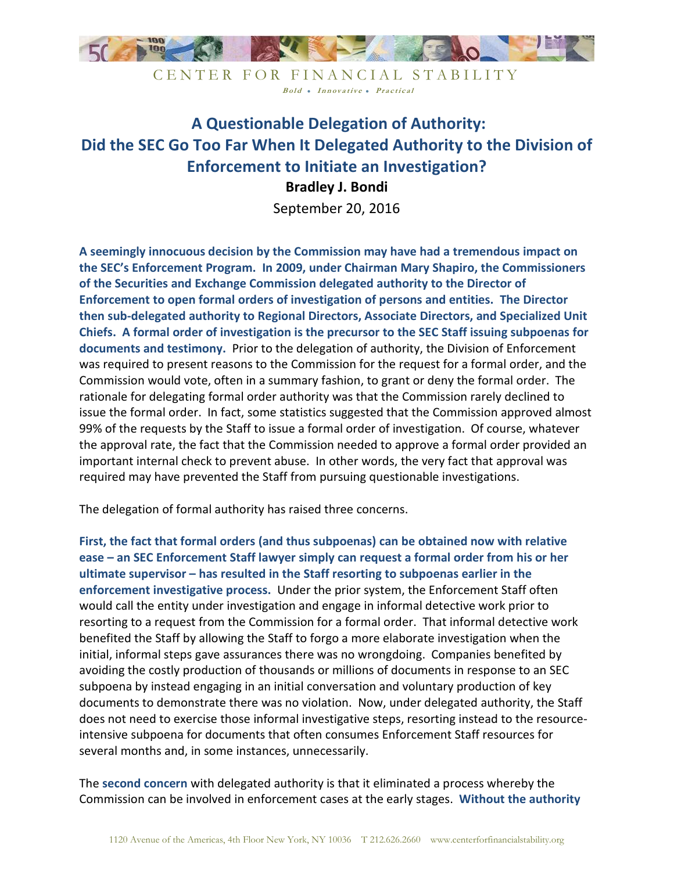

CENTER FOR FINANCIAL STABILITY Bold • Innovative • Practical

## **A Questionable Delegation of Authority: Did the SEC Go Too Far When It Delegated Authority to the Division of Enforcement to Initiate an Investigation? Bradley J. Bondi**

September 20, 2016

**A seemingly innocuous decision by the Commission may have had a tremendous impact on the SEC's Enforcement Program. In 2009, under Chairman Mary Shapiro, the Commissioners of the Securities and Exchange Commission delegated authority to the Director of Enforcement to open formal orders of investigation of persons and entities. The Director then sub-delegated authority to Regional Directors, Associate Directors, and Specialized Unit Chiefs. A formal order of investigation is the precursor to the SEC Staff issuing subpoenas for documents and testimony.** Prior to the delegation of authority, the Division of Enforcement was required to present reasons to the Commission for the request for a formal order, and the Commission would vote, often in a summary fashion, to grant or deny the formal order. The rationale for delegating formal order authority was that the Commission rarely declined to issue the formal order. In fact, some statistics suggested that the Commission approved almost 99% of the requests by the Staff to issue a formal order of investigation. Of course, whatever the approval rate, the fact that the Commission needed to approve a formal order provided an important internal check to prevent abuse. In other words, the very fact that approval was required may have prevented the Staff from pursuing questionable investigations.

The delegation of formal authority has raised three concerns.

**First, the fact that formal orders (and thus subpoenas) can be obtained now with relative ease – an SEC Enforcement Staff lawyer simply can request a formal order from his or her ultimate supervisor – has resulted in the Staff resorting to subpoenas earlier in the enforcement investigative process.** Under the prior system, the Enforcement Staff often would call the entity under investigation and engage in informal detective work prior to resorting to a request from the Commission for a formal order. That informal detective work benefited the Staff by allowing the Staff to forgo a more elaborate investigation when the initial, informal steps gave assurances there was no wrongdoing. Companies benefited by avoiding the costly production of thousands or millions of documents in response to an SEC subpoena by instead engaging in an initial conversation and voluntary production of key documents to demonstrate there was no violation. Now, under delegated authority, the Staff does not need to exercise those informal investigative steps, resorting instead to the resourceintensive subpoena for documents that often consumes Enforcement Staff resources for several months and, in some instances, unnecessarily.

The **second concern** with delegated authority is that it eliminated a process whereby the Commission can be involved in enforcement cases at the early stages. **Without the authority**